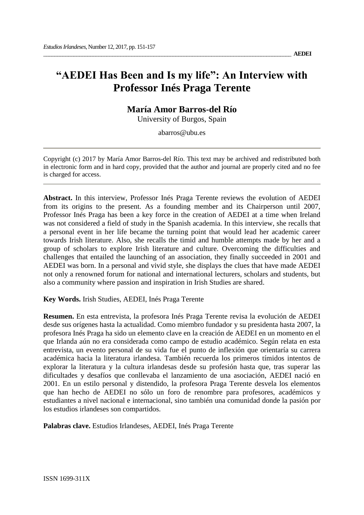# **"AEDEI Has Been and Is my life": An Interview with Professor Inés Praga Terente**

**María Amor Barros-del Río**

University of Burgos, Spain

abarros@ubu.es

Copyright (c) 2017 by María Amor Barros-del Río. This text may be archived and redistributed both in electronic form and in hard copy, provided that the author and journal are properly cited and no fee is charged for access.

**Abstract.** In this interview, Professor Inés Praga Terente reviews the evolution of AEDEI from its origins to the present. As a founding member and its Chairperson until 2007, Professor Inés Praga has been a key force in the creation of AEDEI at a time when Ireland was not considered a field of study in the Spanish academia. In this interview, she recalls that a personal event in her life became the turning point that would lead her academic career towards Irish literature. Also, she recalls the timid and humble attempts made by her and a group of scholars to explore Irish literature and culture. Overcoming the difficulties and challenges that entailed the launching of an association, they finally succeeded in 2001 and AEDEI was born. In a personal and vivid style, she displays the clues that have made AEDEI not only a renowned forum for national and international lecturers, scholars and students, but also a community where passion and inspiration in Irish Studies are shared.

**Key Words.** Irish Studies, AEDEI, Inés Praga Terente

**Resumen.** En esta entrevista, la profesora Inés Praga Terente revisa la evolución de AEDEI desde sus orígenes hasta la actualidad. Como miembro fundador y su presidenta hasta 2007, la profesora Inés Praga ha sido un elemento clave en la creación de AEDEI en un momento en el que Irlanda aún no era considerada como campo de estudio académico. Según relata en esta entrevista, un evento personal de su vida fue el punto de inflexión que orientaría su carrera académica hacia la literatura irlandesa. También recuerda los primeros tímidos intentos de explorar la literatura y la cultura irlandesas desde su profesión hasta que, tras superar las dificultades y desafíos que conllevaba el lanzamiento de una asociación, AEDEI nació en 2001. En un estilo personal y distendido, la profesora Praga Terente desvela los elementos que han hecho de AEDEI no sólo un foro de renombre para profesores, académicos y estudiantes a nivel nacional e internacional, sino también una comunidad donde la pasión por los estudios irlandeses son compartidos.

**Palabras clave.** Estudios Irlandeses, AEDEI, Inés Praga Terente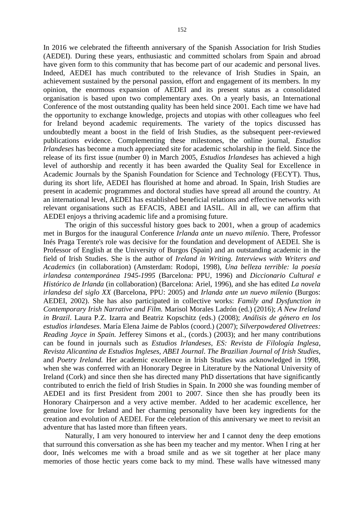In 2016 we celebrated the fifteenth anniversary of the Spanish Association for Irish Studies (AEDEI). During these years, enthusiastic and committed scholars from Spain and abroad have given form to this community that has become part of our academic and personal lives. Indeed, AEDEI has much contributed to the relevance of Irish Studies in Spain, an achievement sustained by the personal passion, effort and engagement of its members. In my opinion, the enormous expansion of AEDEI and its present status as a consolidated organisation is based upon two complementary axes. On a yearly basis, an International Conference of the most outstanding quality has been held since 2001. Each time we have had the opportunity to exchange knowledge, projects and utopias with other colleagues who feel for Ireland beyond academic requirements. The variety of the topics discussed has undoubtedly meant a boost in the field of Irish Studies, as the subsequent peer-reviewed publications evidence. Complementing these milestones, the online journal, *Estudios Irlandeses* has become a much appreciated site for academic scholarship in the field. Since the release of its first issue (number 0) in March 2005, *Estudios Irlandeses* has achieved a high level of authorship and recently it has been awarded the Quality Seal for Excellence in Academic Journals by the Spanish Foundation for Science and Technology (FECYT). Thus, during its short life, AEDEI has flourished at home and abroad. In Spain, Irish Studies are present in academic programmes and doctoral studies have spread all around the country. At an international level, AEDEI has established beneficial relations and effective networks with relevant organisations such as EFACIS, ABEI and IASIL. All in all, we can affirm that AEDEI enjoys a thriving academic life and a promising future.

The origin of this successful history goes back to 2001, when a group of academics met in Burgos for the inaugural Conference *Irlanda ante un nuevo milenio*. There, Professor Inés Praga Terente's role was decisive for the foundation and development of AEDEI. She is Professor of English at the University of Burgos (Spain) and an outstanding academic in the field of Irish Studies. She is the author of *Ireland in Writing. Interviews with Writers and Academics* (in collaboration) (Amsterdam: Rodopi, 1998), *Una belleza terrible: la poesía irlandesa contemporánea 1945-1995* (Barcelona: PPU, 1996) and *Diccionario Cultural e Histórico de Irlanda* (in collaboration) (Barcelona: Ariel, 1996), and she has edited *La novela irlandesa del siglo XX* (Barcelona, PPU: 2005) and *Irlanda ante un nuevo milenio* (Burgos: AEDEI, 2002). She has also participated in collective works: *Family and Dysfunction in Contemporary Irish Narrative and Film.* Marisol Morales Ladrón (ed.) (2016); *A New Ireland in Brazil*. Laura P.Z. Izarra and Beatriz Kopschitz (eds.) (2008); *Análisis de género en los estudios irlandeses*. María Elena Jaime de Pablos (coord.) (2007); *Silverpowdered Olivetrees: Reading Joyce in Spain.* Jefferey Simons et al., (cords.) (2003); and her many contributions can be found in journals such as *Estudios Irlandeses*, *ES: Revista de Filología Inglesa*, *Revista Alicantina de Estudios Ingleses, ABEI Journal*. *The Brazilian Journal of Irish Studies,*  and *Poetry Ireland.* Her academic excellence in Irish Studies was acknowledged in 1998, when she was conferred with an Honorary Degree in Literature by the National University of Ireland (Cork) and since then she has directed many PhD dissertations that have significantly contributed to enrich the field of Irish Studies in Spain. In 2000 she was founding member of AEDEI and its first President from 2001 to 2007. Since then she has proudly been its Honorary Chairperson and a very active member. Added to her academic excellence, her genuine love for Ireland and her charming personality have been key ingredients for the creation and evolution of AEDEI. For the celebration of this anniversary we meet to revisit an adventure that has lasted more than fifteen years.

Naturally, I am very honoured to interview her and I cannot deny the deep emotions that surround this conversation as she has been my teacher and my mentor. When I ring at her door, Inés welcomes me with a broad smile and as we sit together at her place many memories of those hectic years come back to my mind. These walls have witnessed many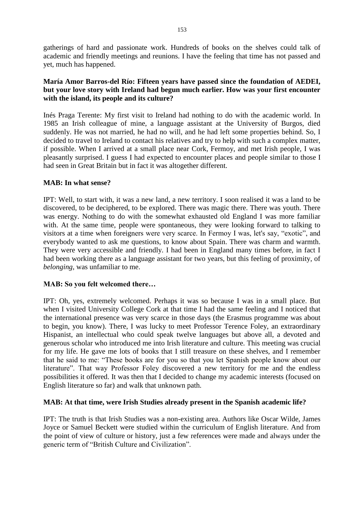gatherings of hard and passionate work. Hundreds of books on the shelves could talk of academic and friendly meetings and reunions. I have the feeling that time has not passed and yet, much has happened.

# **María Amor Barros-del Río: Fifteen years have passed since the foundation of AEDEI, but your love story with Ireland had begun much earlier. How was your first encounter with the island, its people and its culture?**

Inés Praga Terente: My first visit to Ireland had nothing to do with the academic world. In 1985 an Irish colleague of mine, a language assistant at the University of Burgos, died suddenly. He was not married, he had no will, and he had left some properties behind. So, I decided to travel to Ireland to contact his relatives and try to help with such a complex matter, if possible. When I arrived at a small place near Cork, Fermoy, and met Irish people, I was pleasantly surprised. I guess I had expected to encounter places and people similar to those I had seen in Great Britain but in fact it was altogether different.

## **MAB: In what sense?**

IPT: Well, to start with, it was a new land, a new territory. I soon realised it was a land to be discovered, to be deciphered, to be explored. There was magic there. There was youth. There was energy. Nothing to do with the somewhat exhausted old England I was more familiar with. At the same time, people were spontaneous, they were looking forward to talking to visitors at a time when foreigners were very scarce. In Fermoy I was, let's say, "exotic", and everybody wanted to ask me questions, to know about Spain. There was charm and warmth. They were very accessible and friendly. I had been in England many times before, in fact I had been working there as a language assistant for two years, but this feeling of proximity, of *belonging,* was unfamiliar to me.

# **MAB: So you felt welcomed there…**

IPT: Oh, yes, extremely welcomed. Perhaps it was so because I was in a small place. But when I visited University College Cork at that time I had the same feeling and I noticed that the international presence was very scarce in those days (the Erasmus programme was about to begin, you know). There, I was lucky to meet Professor Terence Foley, an extraordinary Hispanist, an intellectual who could speak twelve languages but above all, a devoted and generous scholar who introduced me into Irish literature and culture. This meeting was crucial for my life. He gave me lots of books that I still treasure on these shelves, and I remember that he said to me: "These books are for you so that you let Spanish people know about our literature". That way Professor Foley discovered a new territory for me and the endless possibilities it offered. It was then that I decided to change my academic interests (focused on English literature so far) and walk that unknown path.

# **MAB: At that time, were Irish Studies already present in the Spanish academic life?**

IPT: The truth is that Irish Studies was a non-existing area. Authors like Oscar Wilde, James Joyce or Samuel Beckett were studied within the curriculum of English literature. And from the point of view of culture or history, just a few references were made and always under the generic term of "British Culture and Civilization".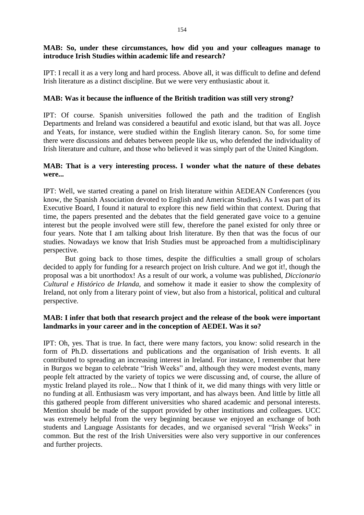## **MAB: So, under these circumstances, how did you and your colleagues manage to introduce Irish Studies within academic life and research?**

IPT: I recall it as a very long and hard process. Above all, it was difficult to define and defend Irish literature as a distinct discipline. But we were very enthusiastic about it.

#### **MAB: Was it because the influence of the British tradition was still very strong?**

IPT: Of course. Spanish universities followed the path and the tradition of English Departments and Ireland was considered a beautiful and exotic island, but that was all. Joyce and Yeats, for instance, were studied within the English literary canon. So, for some time there were discussions and debates between people like us, who defended the individuality of Irish literature and culture, and those who believed it was simply part of the United Kingdom.

#### **MAB: That is a very interesting process. I wonder what the nature of these debates were...**

IPT: Well, we started creating a panel on Irish literature within AEDEAN Conferences (you know, the Spanish Association devoted to English and American Studies). As I was part of its Executive Board, I found it natural to explore this new field within that context. During that time, the papers presented and the debates that the field generated gave voice to a genuine interest but the people involved were still few, therefore the panel existed for only three or four years. Note that I am talking about Irish literature. By then that was the focus of our studies. Nowadays we know that Irish Studies must be approached from a multidisciplinary perspective.

But going back to those times, despite the difficulties a small group of scholars decided to apply for funding for a research project on Irish culture. And we got it!, though the proposal was a bit unorthodox! As a result of our work, a volume was published, *Diccionario Cultural e Histórico de Irlanda,* and somehow it made it easier to show the complexity of Ireland, not only from a literary point of view, but also from a historical, political and cultural perspective.

## **MAB: I infer that both that research project and the release of the book were important landmarks in your career and in the conception of AEDEI. Was it so?**

IPT: Oh, yes. That is true. In fact, there were many factors, you know: solid research in the form of Ph.D. dissertations and publications and the organisation of Irish events. It all contributed to spreading an increasing interest in Ireland. For instance, I remember that here in Burgos we began to celebrate "Irish Weeks" and, although they were modest events, many people felt attracted by the variety of topics we were discussing and, of course, the allure of mystic Ireland played its role... Now that I think of it, we did many things with very little or no funding at all. Enthusiasm was very important, and has always been. And little by little all this gathered people from different universities who shared academic and personal interests. Mention should be made of the support provided by other institutions and colleagues. UCC was extremely helpful from the very beginning because we enjoyed an exchange of both students and Language Assistants for decades, and we organised several "Irish Weeks" in common. But the rest of the Irish Universities were also very supportive in our conferences and further projects.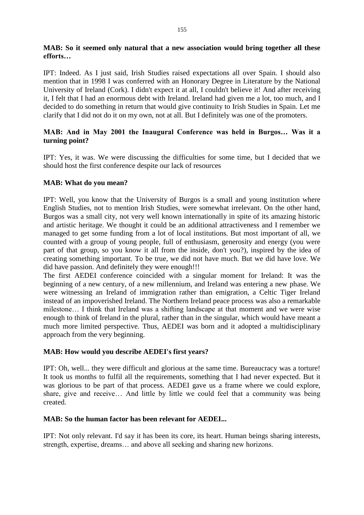# **MAB: So it seemed only natural that a new association would bring together all these efforts…**

IPT: Indeed. As I just said, Irish Studies raised expectations all over Spain. I should also mention that in 1998 I was conferred with an Honorary Degree in Literature by the National University of Ireland (Cork). I didn't expect it at all, I couldn't believe it! And after receiving it, I felt that I had an enormous debt with Ireland. Ireland had given me a lot, too much, and I decided to do something in return that would give continuity to Irish Studies in Spain. Let me clarify that I did not do it on my own, not at all. But I definitely was one of the promoters.

# **MAB: And in May 2001 the Inaugural Conference was held in Burgos… Was it a turning point?**

IPT: Yes, it was. We were discussing the difficulties for some time, but I decided that we should host the first conference despite our lack of resources

## **MAB: What do you mean?**

IPT: Well, you know that the University of Burgos is a small and young institution where English Studies, not to mention Irish Studies, were somewhat irrelevant. On the other hand, Burgos was a small city, not very well known internationally in spite of its amazing historic and artistic heritage. We thought it could be an additional attractiveness and I remember we managed to get some funding from a lot of local institutions. But most important of all, we counted with a group of young people, full of enthusiasm, generosity and energy (you were part of that group, so you know it all from the inside, don't you?), inspired by the idea of creating something important. To be true, we did not have much. But we did have love. We did have passion. And definitely they were enough!!!

The first AEDEI conference coincided with a singular moment for Ireland: It was the beginning of a new century, of a new millennium, and Ireland was entering a new phase. We were witnessing an Ireland of immigration rather than emigration, a Celtic Tiger Ireland instead of an impoverished Ireland. The Northern Ireland peace process was also a remarkable milestone… I think that Ireland was a shifting landscape at that moment and we were wise enough to think of Ireland in the plural, rather than in the singular, which would have meant a much more limited perspective. Thus, AEDEI was born and it adopted a multidisciplinary approach from the very beginning.

#### **MAB: How would you describe AEDEI's first years?**

IPT: Oh, well... they were difficult and glorious at the same time. Bureaucracy was a torture! It took us months to fulfil all the requirements, something that I had never expected. But it was glorious to be part of that process. AEDEI gave us a frame where we could explore, share, give and receive… And little by little we could feel that a community was being created.

#### **MAB: So the human factor has been relevant for AEDEI...**

IPT: Not only relevant. I'd say it has been its core, its heart. Human beings sharing interests, strength, expertise, dreams… and above all seeking and sharing new horizons.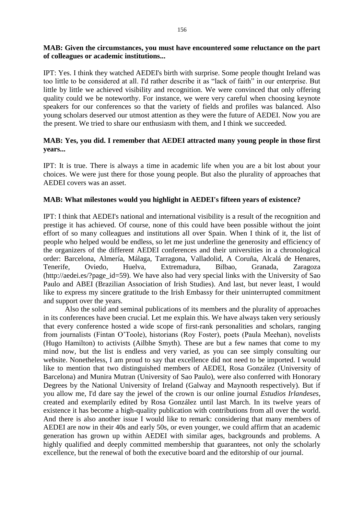## **MAB: Given the circumstances, you must have encountered some reluctance on the part of colleagues or academic institutions...**

IPT: Yes. I think they watched AEDEI's birth with surprise. Some people thought Ireland was too little to be considered at all. I'd rather describe it as "lack of faith" in our enterprise. But little by little we achieved visibility and recognition. We were convinced that only offering quality could we be noteworthy. For instance, we were very careful when choosing keynote speakers for our conferences so that the variety of fields and profiles was balanced. Also young scholars deserved our utmost attention as they were the future of AEDEI. Now you are the present. We tried to share our enthusiasm with them, and I think we succeeded.

# **MAB: Yes, you did. I remember that AEDEI attracted many young people in those first years...**

IPT: It is true. There is always a time in academic life when you are a bit lost about your choices. We were just there for those young people. But also the plurality of approaches that AEDEI covers was an asset.

## **MAB: What milestones would you highlight in AEDEI's fifteen years of existence?**

IPT: I think that AEDEI's national and international visibility is a result of the recognition and prestige it has achieved. Of course, none of this could have been possible without the joint effort of so many colleagues and institutions all over Spain. When I think of it, the list of people who helped would be endless, so let me just underline the generosity and efficiency of the organizers of the different AEDEI conferences and their universities in a chronological order: Barcelona, Almería, Málaga, Tarragona, Valladolid, A Coruña, Alcalá de Henares, Tenerife, Oviedo, Huelva, Extremadura, Bilbao, Granada, Zaragoza [\(http://aedei.es/?page\\_id=59\)](http://aedei.es/?page_id=59). We have also had very special links with the University of Sao Paulo and ABEI (Brazilian Association of Irish Studies). And last, but never least, I would like to express my sincere gratitude to the Irish Embassy for their uninterrupted commitment and support over the years.

Also the solid and seminal publications of its members and the plurality of approaches in its conferences have been crucial. Let me explain this. We have always taken very seriously that every conference hosted a wide scope of first-rank personalities and scholars, ranging from journalists (Fintan O'Toole), historians (Roy Foster), poets (Paula Meehan), novelists (Hugo Hamilton) to activists (Ailbhe Smyth). These are but a few names that come to my mind now, but the list is endless and very varied, as you can see simply consulting our website. Nonetheless, I am proud to say that excellence did not need to be imported. I would like to mention that two distinguished members of AEDEI, Rosa González (University of Barcelona) and Munira Mutran (University of Sao Paulo), were also conferred with Honorary Degrees by the National University of Ireland (Galway and Maynooth respectively). But if you allow me, I'd dare say the jewel of the crown is our online journal *Estudios Irlandeses*, created and exemplarily edited by Rosa González until last March. In its twelve years of existence it has become a high-quality publication with contributions from all over the world. And there is also another issue I would like to remark: considering that many members of AEDEI are now in their 40s and early 50s, or even younger, we could affirm that an academic generation has grown up within AEDEI with similar ages, backgrounds and problems. A highly qualified and deeply committed membership that guarantees, not only the scholarly excellence, but the renewal of both the executive board and the editorship of our journal.